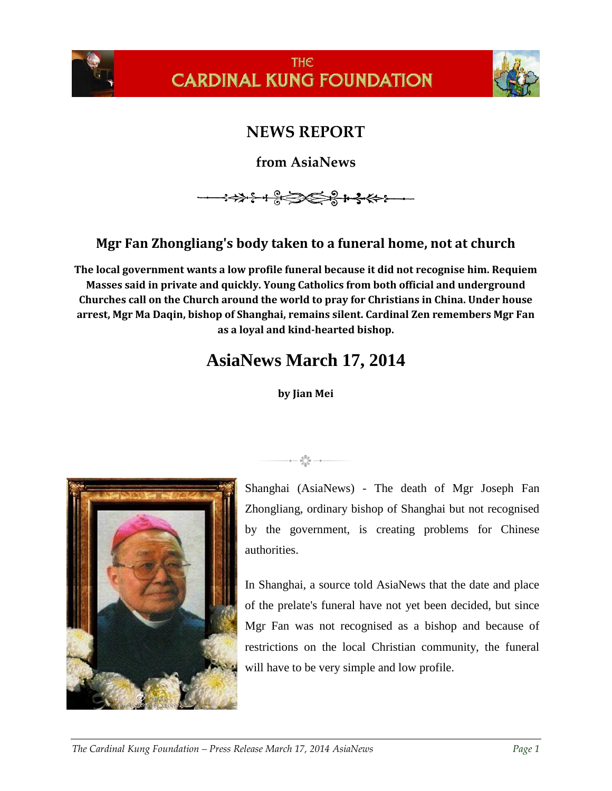

**THE CARDINAL KUNG FOUNDATION** 



## **NEWS REPORT**

**from AsiaNews**

## **Mgr Fan Zhongliang's body taken to a funeral home, not at church**

**The local government wants a low profile funeral because it did not recognise him. Requiem Masses said in private and quickly. Young Catholics from both official and underground Churches call on the Church around the world to pray for Christians in China. Under house arrest, Mgr Ma Daqin, bishop of Shanghai, remains silent. Cardinal Zen remembers Mgr Fan as a loyal and kind-hearted bishop.**

## **AsiaNews March 17, 2014**

**by Jian Mei**



 $-$  0  $-$  0  $\bigcup_{\substack{0 \leq x \leq 0 \\ 0 \leq x \leq 0}}$  0  $-$  0  $-$ 

Shanghai (AsiaNews) - The death of Mgr Joseph Fan Zhongliang, ordinary bishop of Shanghai but not recognised by the government, is creating problems for Chinese authorities.

In Shanghai, a source told AsiaNews that the date and place of the prelate's funeral have not yet been decided, but since Mgr Fan was not recognised as a bishop and because of restrictions on the local Christian community, the funeral will have to be very simple and low profile.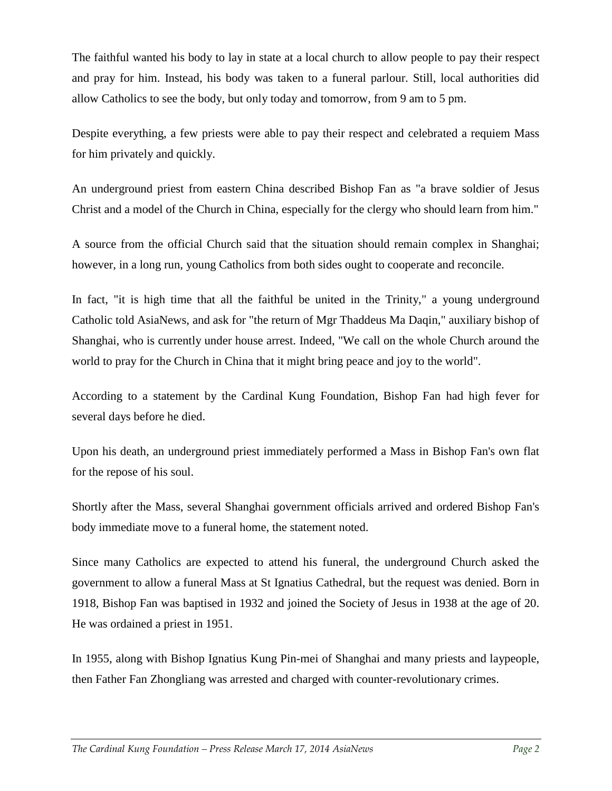The faithful wanted his body to lay in state at a local church to allow people to pay their respect and pray for him. Instead, his body was taken to a funeral parlour. Still, local authorities did allow Catholics to see the body, but only today and tomorrow, from 9 am to 5 pm.

Despite everything, a few priests were able to pay their respect and celebrated a requiem Mass for him privately and quickly.

An underground priest from eastern China described Bishop Fan as "a brave soldier of Jesus Christ and a model of the Church in China, especially for the clergy who should learn from him."

A source from the official Church said that the situation should remain complex in Shanghai; however, in a long run, young Catholics from both sides ought to cooperate and reconcile.

In fact, "it is high time that all the faithful be united in the Trinity," a young underground Catholic told AsiaNews, and ask for "the return of Mgr Thaddeus Ma Daqin," auxiliary bishop of Shanghai, who is currently under house arrest. Indeed, "We call on the whole Church around the world to pray for the Church in China that it might bring peace and joy to the world".

According to a statement by the Cardinal Kung Foundation, Bishop Fan had high fever for several days before he died.

Upon his death, an underground priest immediately performed a Mass in Bishop Fan's own flat for the repose of his soul.

Shortly after the Mass, several Shanghai government officials arrived and ordered Bishop Fan's body immediate move to a funeral home, the statement noted.

Since many Catholics are expected to attend his funeral, the underground Church asked the government to allow a funeral Mass at St Ignatius Cathedral, but the request was denied. Born in 1918, Bishop Fan was baptised in 1932 and joined the Society of Jesus in 1938 at the age of 20. He was ordained a priest in 1951.

In 1955, along with Bishop Ignatius Kung Pin-mei of Shanghai and many priests and laypeople, then Father Fan Zhongliang was arrested and charged with counter-revolutionary crimes.